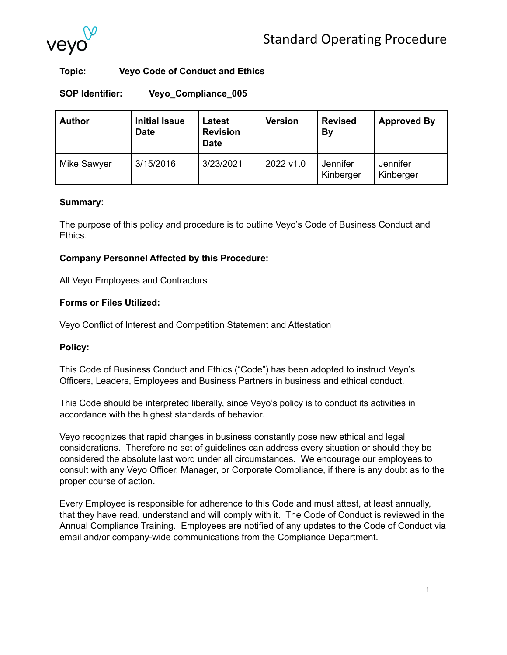

# **Topic: Veyo Code of Conduct and Ethics**

**SOP Identifier: Veyo\_Compliance\_005**

**Author Initial Issue Date Latest Revision Date Version Revised By Approved By** Mike Sawyer | 3/15/2016 | 3/23/2021 | 2022 v1.0 | Jennifer Kinberger **Jennifer** Kinberger

### **Summary**:

The purpose of this policy and procedure is to outline Veyo's Code of Business Conduct and Ethics.

# **Company Personnel Affected by this Procedure:**

All Veyo Employees and Contractors

# **Forms or Files Utilized:**

Veyo Conflict of Interest and Competition Statement and Attestation

# **Policy:**

This Code of Business Conduct and Ethics ("Code") has been adopted to instruct Veyo's Officers, Leaders, Employees and Business Partners in business and ethical conduct.

This Code should be interpreted liberally, since Veyo's policy is to conduct its activities in accordance with the highest standards of behavior.

Veyo recognizes that rapid changes in business constantly pose new ethical and legal considerations. Therefore no set of guidelines can address every situation or should they be considered the absolute last word under all circumstances. We encourage our employees to consult with any Veyo Officer, Manager, or Corporate Compliance, if there is any doubt as to the proper course of action.

Every Employee is responsible for adherence to this Code and must attest, at least annually, that they have read, understand and will comply with it. The Code of Conduct is reviewed in the Annual Compliance Training. Employees are notified of any updates to the Code of Conduct via email and/or company-wide communications from the Compliance Department.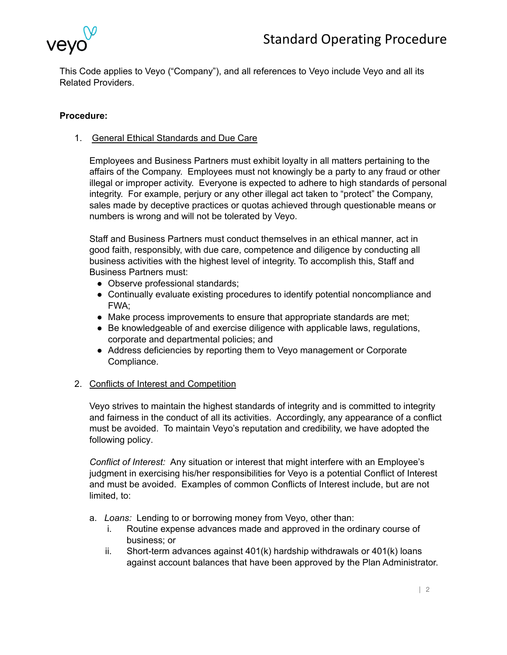

This Code applies to Veyo ("Company"), and all references to Veyo include Veyo and all its Related Providers.

# **Procedure:**

1. General Ethical Standards and Due Care

Employees and Business Partners must exhibit loyalty in all matters pertaining to the affairs of the Company. Employees must not knowingly be a party to any fraud or other illegal or improper activity. Everyone is expected to adhere to high standards of personal integrity. For example, perjury or any other illegal act taken to "protect" the Company, sales made by deceptive practices or quotas achieved through questionable means or numbers is wrong and will not be tolerated by Veyo.

Staff and Business Partners must conduct themselves in an ethical manner, act in good faith, responsibly, with due care, competence and diligence by conducting all business activities with the highest level of integrity. To accomplish this, Staff and Business Partners must:

- Observe professional standards:
- Continually evaluate existing procedures to identify potential noncompliance and FWA;
- Make process improvements to ensure that appropriate standards are met;
- Be knowledgeable of and exercise diligence with applicable laws, regulations, corporate and departmental policies; and
- Address deficiencies by reporting them to Veyo management or Corporate Compliance.

#### 2. Conflicts of Interest and Competition

Veyo strives to maintain the highest standards of integrity and is committed to integrity and fairness in the conduct of all its activities. Accordingly, any appearance of a conflict must be avoided. To maintain Veyo's reputation and credibility, we have adopted the following policy.

*Conflict of Interest:* Any situation or interest that might interfere with an Employee's judgment in exercising his/her responsibilities for Veyo is a potential Conflict of Interest and must be avoided. Examples of common Conflicts of Interest include, but are not limited, to:

- a. *Loans:* Lending to or borrowing money from Veyo, other than:
	- i. Routine expense advances made and approved in the ordinary course of business; or
	- ii. Short-term advances against 401(k) hardship withdrawals or 401(k) loans against account balances that have been approved by the Plan Administrator.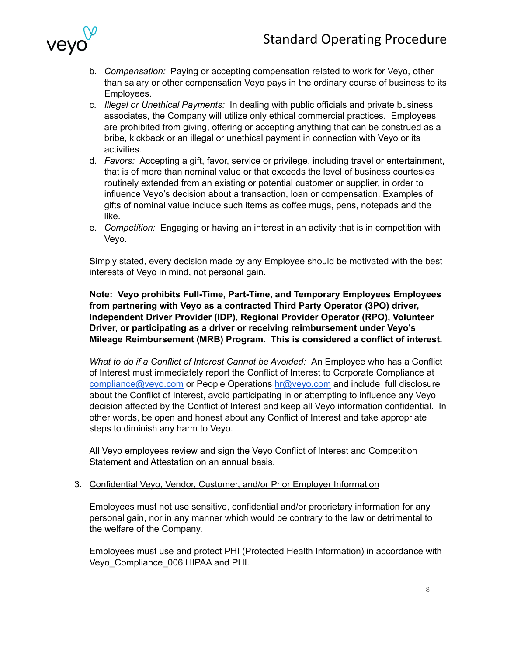

- b. *Compensation:* Paying or accepting compensation related to work for Veyo, other than salary or other compensation Veyo pays in the ordinary course of business to its Employees.
- c. *Illegal or Unethical Payments:* In dealing with public officials and private business associates, the Company will utilize only ethical commercial practices. Employees are prohibited from giving, offering or accepting anything that can be construed as a bribe, kickback or an illegal or unethical payment in connection with Veyo or its activities.
- d. *Favors:* Accepting a gift, favor, service or privilege, including travel or entertainment, that is of more than nominal value or that exceeds the level of business courtesies routinely extended from an existing or potential customer or supplier, in order to influence Veyo's decision about a transaction, loan or compensation. Examples of gifts of nominal value include such items as coffee mugs, pens, notepads and the like.
- e. *Competition:* Engaging or having an interest in an activity that is in competition with Veyo.

Simply stated, every decision made by any Employee should be motivated with the best interests of Veyo in mind, not personal gain.

**Note: Veyo prohibits Full-Time, Part-Time, and Temporary Employees Employees from partnering with Veyo as a contracted Third Party Operator (3PO) driver, Independent Driver Provider (IDP), Regional Provider Operator (RPO), Volunteer Driver, or participating as a driver or receiving reimbursement under Veyo's Mileage Reimbursement (MRB) Program. This is considered a conflict of interest.**

*What to do if a Conflict of Interest Cannot be Avoided:* An Employee who has a Conflict of Interest must immediately report the Conflict of Interest to Corporate Compliance at [compliance@veyo.com](mailto:compliance@veyo.com) or People Operations [hr@veyo.com](mailto:hr@veyo.com) and include full disclosure about the Conflict of Interest, avoid participating in or attempting to influence any Veyo decision affected by the Conflict of Interest and keep all Veyo information confidential. In other words, be open and honest about any Conflict of Interest and take appropriate steps to diminish any harm to Veyo.

All Veyo employees review and sign the Veyo Conflict of Interest and Competition Statement and Attestation on an annual basis.

# 3. Confidential Veyo, Vendor, Customer, and/or Prior Employer Information

Employees must not use sensitive, confidential and/or proprietary information for any personal gain, nor in any manner which would be contrary to the law or detrimental to the welfare of the Company.

Employees must use and protect PHI (Protected Health Information) in accordance with Veyo\_Compliance\_006 HIPAA and PHI.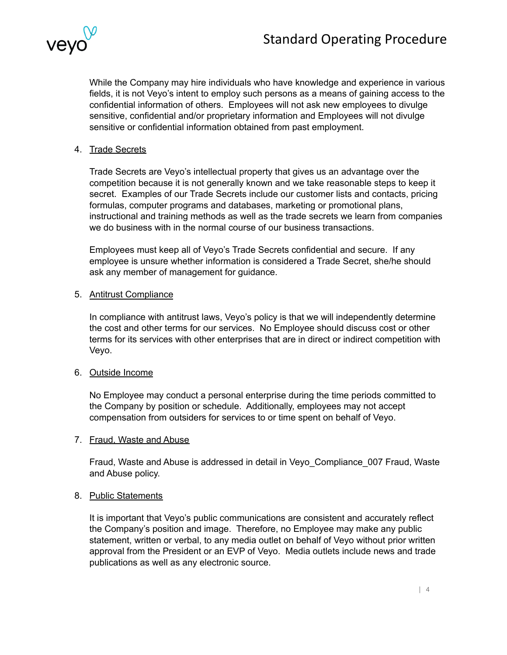

While the Company may hire individuals who have knowledge and experience in various fields, it is not Veyo's intent to employ such persons as a means of gaining access to the confidential information of others. Employees will not ask new employees to divulge sensitive, confidential and/or proprietary information and Employees will not divulge sensitive or confidential information obtained from past employment.

# 4. Trade Secrets

Trade Secrets are Veyo's intellectual property that gives us an advantage over the competition because it is not generally known and we take reasonable steps to keep it secret. Examples of our Trade Secrets include our customer lists and contacts, pricing formulas, computer programs and databases, marketing or promotional plans, instructional and training methods as well as the trade secrets we learn from companies we do business with in the normal course of our business transactions.

Employees must keep all of Veyo's Trade Secrets confidential and secure. If any employee is unsure whether information is considered a Trade Secret, she/he should ask any member of management for guidance.

#### 5. Antitrust Compliance

In compliance with antitrust laws, Veyo's policy is that we will independently determine the cost and other terms for our services. No Employee should discuss cost or other terms for its services with other enterprises that are in direct or indirect competition with Veyo.

#### 6. Outside Income

No Employee may conduct a personal enterprise during the time periods committed to the Company by position or schedule. Additionally, employees may not accept compensation from outsiders for services to or time spent on behalf of Veyo.

#### 7. Fraud, Waste and Abuse

Fraud, Waste and Abuse is addressed in detail in Veyo\_Compliance\_007 Fraud, Waste and Abuse policy.

#### 8. Public Statements

It is important that Veyo's public communications are consistent and accurately reflect the Company's position and image. Therefore, no Employee may make any public statement, written or verbal, to any media outlet on behalf of Veyo without prior written approval from the President or an EVP of Veyo. Media outlets include news and trade publications as well as any electronic source.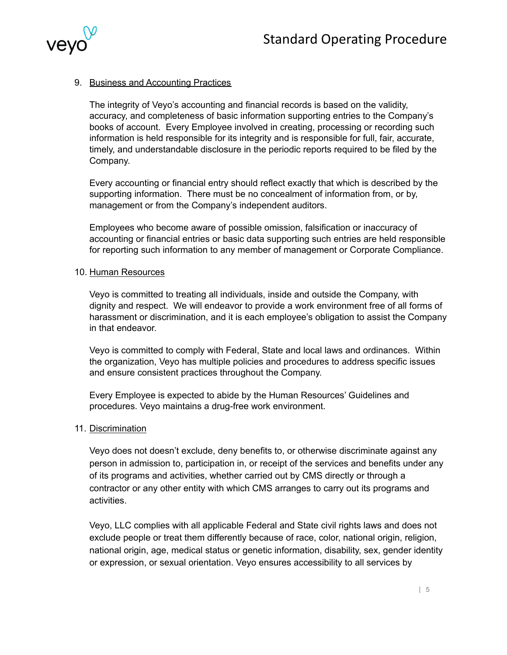

# 9. Business and Accounting Practices

The integrity of Veyo's accounting and financial records is based on the validity, accuracy, and completeness of basic information supporting entries to the Company's books of account. Every Employee involved in creating, processing or recording such information is held responsible for its integrity and is responsible for full, fair, accurate, timely, and understandable disclosure in the periodic reports required to be filed by the Company.

Every accounting or financial entry should reflect exactly that which is described by the supporting information. There must be no concealment of information from, or by, management or from the Company's independent auditors.

Employees who become aware of possible omission, falsification or inaccuracy of accounting or financial entries or basic data supporting such entries are held responsible for reporting such information to any member of management or Corporate Compliance.

#### 10. Human Resources

Veyo is committed to treating all individuals, inside and outside the Company, with dignity and respect. We will endeavor to provide a work environment free of all forms of harassment or discrimination, and it is each employee's obligation to assist the Company in that endeavor.

Veyo is committed to comply with Federal, State and local laws and ordinances. Within the organization, Veyo has multiple policies and procedures to address specific issues and ensure consistent practices throughout the Company.

Every Employee is expected to abide by the Human Resources' Guidelines and procedures. Veyo maintains a drug-free work environment.

#### 11. Discrimination

Veyo does not doesn't exclude, deny benefits to, or otherwise discriminate against any person in admission to, participation in, or receipt of the services and benefits under any of its programs and activities, whether carried out by CMS directly or through a contractor or any other entity with which CMS arranges to carry out its programs and activities.

Veyo, LLC complies with all applicable Federal and State civil rights laws and does not exclude people or treat them differently because of race, color, national origin, religion, national origin, age, medical status or genetic information, disability, sex, gender identity or expression, or sexual orientation. Veyo ensures accessibility to all services by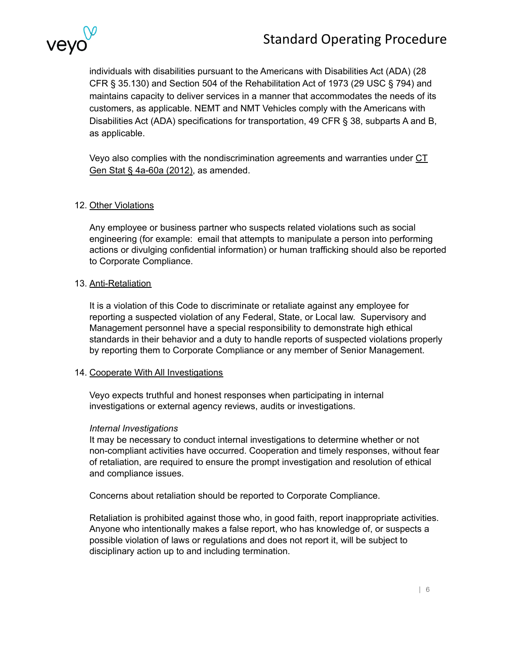

individuals with disabilities pursuant to the Americans with Disabilities Act (ADA) (28 CFR § 35.130) and Section 504 of the Rehabilitation Act of 1973 (29 USC § 794) and maintains capacity to deliver services in a manner that accommodates the needs of its customers, as applicable. NEMT and NMT Vehicles comply with the Americans with Disabilities Act (ADA) specifications for transportation, 49 CFR § 38, subparts A and B, as applicable.

Veyo also complies with the nondiscrimination agreements and warranties under [CT](https://law.justia.com/codes/connecticut/2012/title-4a/chapter-58/section-4a-60a) Gen Stat § [4a-60a](https://law.justia.com/codes/connecticut/2012/title-4a/chapter-58/section-4a-60a) (2012), as amended.

### 12. Other Violations

Any employee or business partner who suspects related violations such as social engineering (for example: email that attempts to manipulate a person into performing actions or divulging confidential information) or human trafficking should also be reported to Corporate Compliance.

#### 13. Anti-Retaliation

It is a violation of this Code to discriminate or retaliate against any employee for reporting a suspected violation of any Federal, State, or Local law. Supervisory and Management personnel have a special responsibility to demonstrate high ethical standards in their behavior and a duty to handle reports of suspected violations properly by reporting them to Corporate Compliance or any member of Senior Management.

#### 14. Cooperate With All Investigations

Veyo expects truthful and honest responses when participating in internal investigations or external agency reviews, audits or investigations.

#### *Internal Investigations*

It may be necessary to conduct internal investigations to determine whether or not non-compliant activities have occurred. Cooperation and timely responses, without fear of retaliation, are required to ensure the prompt investigation and resolution of ethical and compliance issues.

Concerns about retaliation should be reported to Corporate Compliance.

Retaliation is prohibited against those who, in good faith, report inappropriate activities. Anyone who intentionally makes a false report, who has knowledge of, or suspects a possible violation of laws or regulations and does not report it, will be subject to disciplinary action up to and including termination.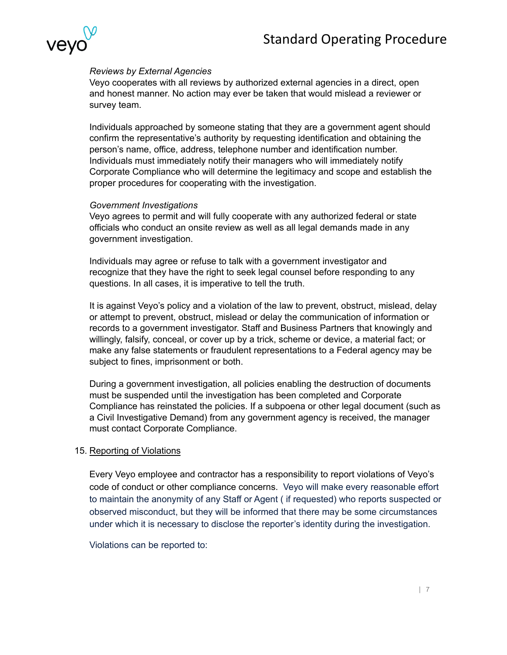

# *Reviews by External Agencies*

Veyo cooperates with all reviews by authorized external agencies in a direct, open and honest manner. No action may ever be taken that would mislead a reviewer or survey team.

Individuals approached by someone stating that they are a government agent should confirm the representative's authority by requesting identification and obtaining the person's name, office, address, telephone number and identification number. Individuals must immediately notify their managers who will immediately notify Corporate Compliance who will determine the legitimacy and scope and establish the proper procedures for cooperating with the investigation.

#### *Government Investigations*

Veyo agrees to permit and will fully cooperate with any authorized federal or state officials who conduct an onsite review as well as all legal demands made in any government investigation.

Individuals may agree or refuse to talk with a government investigator and recognize that they have the right to seek legal counsel before responding to any questions. In all cases, it is imperative to tell the truth.

It is against Veyo's policy and a violation of the law to prevent, obstruct, mislead, delay or attempt to prevent, obstruct, mislead or delay the communication of information or records to a government investigator. Staff and Business Partners that knowingly and willingly, falsify, conceal, or cover up by a trick, scheme or device, a material fact; or make any false statements or fraudulent representations to a Federal agency may be subject to fines, imprisonment or both.

During a government investigation, all policies enabling the destruction of documents must be suspended until the investigation has been completed and Corporate Compliance has reinstated the policies. If a subpoena or other legal document (such as a Civil Investigative Demand) from any government agency is received, the manager must contact Corporate Compliance.

#### 15. Reporting of Violations

Every Veyo employee and contractor has a responsibility to report violations of Veyo's code of conduct or other compliance concerns. Veyo will make every reasonable effort to maintain the anonymity of any Staff or Agent ( if requested) who reports suspected or observed misconduct, but they will be informed that there may be some circumstances under which it is necessary to disclose the reporter's identity during the investigation.

Violations can be reported to: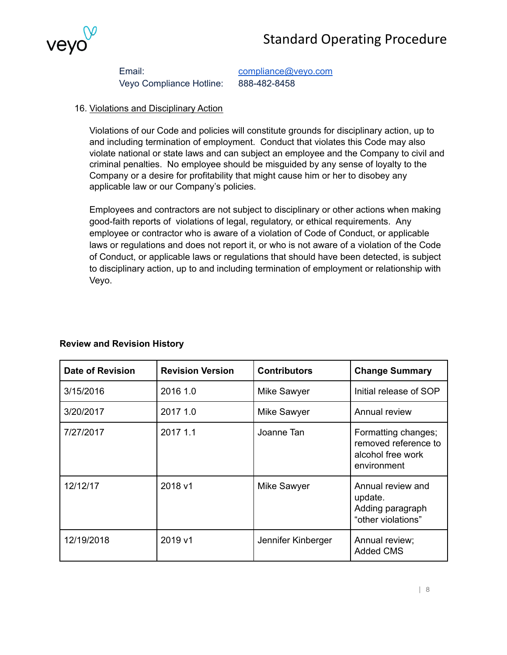# Standard Operating Procedure



Email: [compliance@veyo.com](mailto:compliance@veyo.com) Veyo Compliance Hotline: 888-482-8458

# 16. Violations and Disciplinary Action

Violations of our Code and policies will constitute grounds for disciplinary action, up to and including termination of employment. Conduct that violates this Code may also violate national or state laws and can subject an employee and the Company to civil and criminal penalties. No employee should be misguided by any sense of loyalty to the Company or a desire for profitability that might cause him or her to disobey any applicable law or our Company's policies.

Employees and contractors are not subject to disciplinary or other actions when making good-faith reports of violations of legal, regulatory, or ethical requirements. Any employee or contractor who is aware of a violation of Code of Conduct, or applicable laws or regulations and does not report it, or who is not aware of a violation of the Code of Conduct, or applicable laws or regulations that should have been detected, is subject to disciplinary action, up to and including termination of employment or relationship with Veyo.

| <b>Review and Revision History</b> |  |
|------------------------------------|--|
|------------------------------------|--|

| <b>Date of Revision</b> | <b>Revision Version</b> | <b>Contributors</b> | <b>Change Summary</b>                                                           |
|-------------------------|-------------------------|---------------------|---------------------------------------------------------------------------------|
| 3/15/2016               | 2016 1.0                | Mike Sawyer         | Initial release of SOP                                                          |
| 3/20/2017               | 2017 1.0                | Mike Sawyer         | Annual review                                                                   |
| 7/27/2017               | 2017 1.1                | Joanne Tan          | Formatting changes;<br>removed reference to<br>alcohol free work<br>environment |
| 12/12/17                | 2018 v1                 | Mike Sawyer         | Annual review and<br>update.<br>Adding paragraph<br>"other violations"          |
| 12/19/2018              | 2019 v1                 | Jennifer Kinberger  | Annual review;<br><b>Added CMS</b>                                              |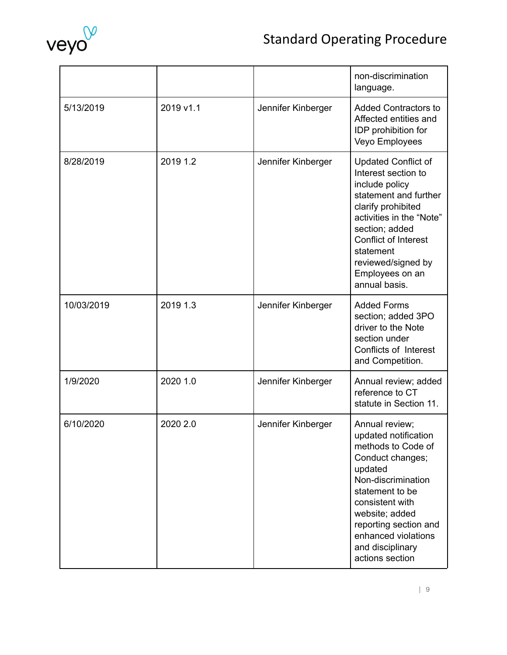

# Standard Operating Procedure

|            |           |                    | non-discrimination<br>language.                                                                                                                                                                                                                                        |
|------------|-----------|--------------------|------------------------------------------------------------------------------------------------------------------------------------------------------------------------------------------------------------------------------------------------------------------------|
| 5/13/2019  | 2019 v1.1 | Jennifer Kinberger | <b>Added Contractors to</b><br>Affected entities and<br>IDP prohibition for<br>Veyo Employees                                                                                                                                                                          |
| 8/28/2019  | 2019 1.2  | Jennifer Kinberger | <b>Updated Conflict of</b><br>Interest section to<br>include policy<br>statement and further<br>clarify prohibited<br>activities in the "Note"<br>section; added<br><b>Conflict of Interest</b><br>statement<br>reviewed/signed by<br>Employees on an<br>annual basis. |
| 10/03/2019 | 2019 1.3  | Jennifer Kinberger | <b>Added Forms</b><br>section; added 3PO<br>driver to the Note<br>section under<br>Conflicts of Interest<br>and Competition.                                                                                                                                           |
| 1/9/2020   | 2020 1.0  | Jennifer Kinberger | Annual review; added<br>reference to CT<br>statute in Section 11.                                                                                                                                                                                                      |
| 6/10/2020  | 2020 2.0  | Jennifer Kinberger | Annual review;<br>updated notification<br>methods to Code of<br>Conduct changes;<br>updated<br>Non-discrimination<br>statement to be<br>consistent with<br>website; added<br>reporting section and<br>enhanced violations<br>and disciplinary<br>actions section       |